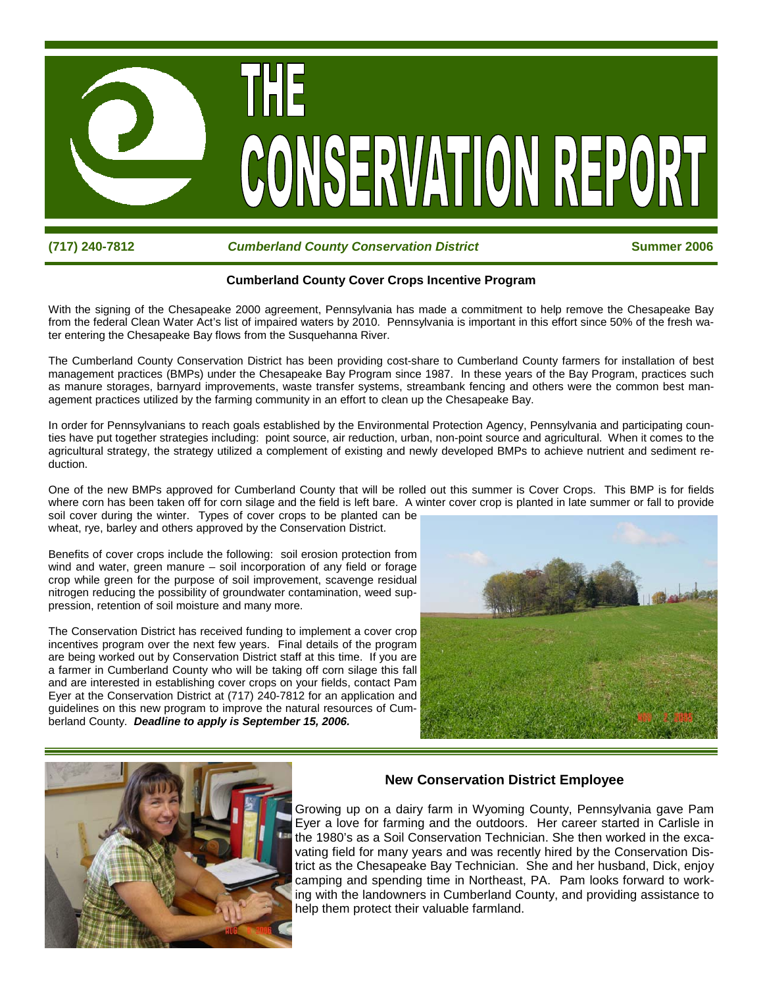

### *Cumberland County Conservation District* **<b>***Summer 2006* **Summer 2006**

### **Cumberland County Cover Crops Incentive Program**

With the signing of the Chesapeake 2000 agreement, Pennsylvania has made a commitment to help remove the Chesapeake Bay from the federal Clean Water Act's list of impaired waters by 2010. Pennsylvania is important in this effort since 50% of the fresh water entering the Chesapeake Bay flows from the Susquehanna River.

The Cumberland County Conservation District has been providing cost-share to Cumberland County farmers for installation of best management practices (BMPs) under the Chesapeake Bay Program since 1987. In these years of the Bay Program, practices such as manure storages, barnyard improvements, waste transfer systems, streambank fencing and others were the common best management practices utilized by the farming community in an effort to clean up the Chesapeake Bay.

In order for Pennsylvanians to reach goals established by the Environmental Protection Agency, Pennsylvania and participating counties have put together strategies including: point source, air reduction, urban, non-point source and agricultural. When it comes to the agricultural strategy, the strategy utilized a complement of existing and newly developed BMPs to achieve nutrient and sediment reduction.

One of the new BMPs approved for Cumberland County that will be rolled out this summer is Cover Crops. This BMP is for fields where corn has been taken off for corn silage and the field is left bare. A winter cover crop is planted in late summer or fall to provide soil cover during the winter. Types of cover crops to be planted can be wheat, rye, barley and others approved by the Conservation District.

Benefits of cover crops include the following: soil erosion protection from wind and water, green manure – soil incorporation of any field or forage crop while green for the purpose of soil improvement, scavenge residual nitrogen reducing the possibility of groundwater contamination, weed suppression, retention of soil moisture and many more.

The Conservation District has received funding to implement a cover crop incentives program over the next few years. Final details of the program are being worked out by Conservation District staff at this time. If you are a farmer in Cumberland County who will be taking off corn silage this fall and are interested in establishing cover crops on your fields, contact Pam Eyer at the Conservation District at (717) 240-7812 for an application and guidelines on this new program to improve the natural resources of Cumberland County. *Deadline to apply is September 15, 2006.* 





### **New Conservation District Employee**

Growing up on a dairy farm in Wyoming County, Pennsylvania gave Pam Eyer a love for farming and the outdoors. Her career started in Carlisle in the 1980's as a Soil Conservation Technician. She then worked in the excavating field for many years and was recently hired by the Conservation District as the Chesapeake Bay Technician. She and her husband, Dick, enjoy camping and spending time in Northeast, PA. Pam looks forward to working with the landowners in Cumberland County, and providing assistance to help them protect their valuable farmland.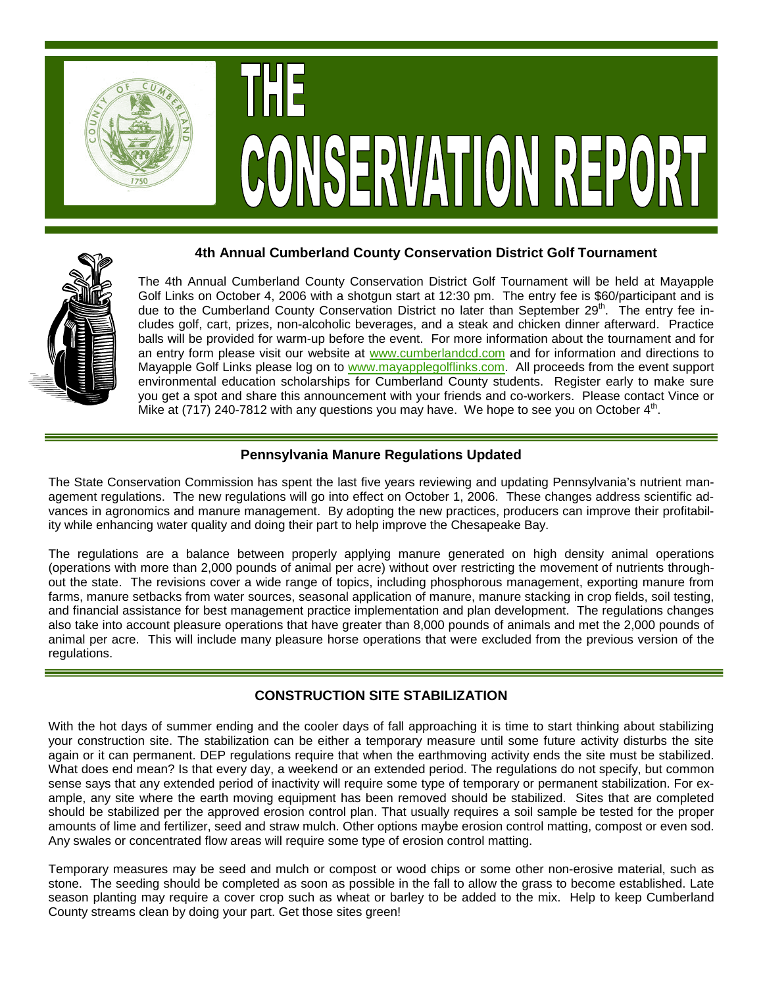

# CONSERVATION REPORT

### **4th Annual Cumberland County Conservation District Golf Tournament**



The 4th Annual Cumberland County Conservation District Golf Tournament will be held at Mayapple Golf Links on October 4, 2006 with a shotgun start at 12:30 pm. The entry fee is \$60/participant and is due to the Cumberland County Conservation District no later than September  $29<sup>th</sup>$ . The entry fee includes golf, cart, prizes, non-alcoholic beverages, and a steak and chicken dinner afterward. Practice balls will be provided for warm-up before the event. For more information about the tournament and for an entry form please visit our website at www.cumberlandcd.com and for information and directions to Mayapple Golf Links please log on to www.mayapplegolflinks.com. All proceeds from the event support environmental education scholarships for Cumberland County students. Register early to make sure you get a spot and share this announcement with your friends and co-workers. Please contact Vince or Mike at  $(717)$  240-7812 with any questions you may have. We hope to see you on October  $4<sup>th</sup>$ .

## **Pennsylvania Manure Regulations Updated**

The State Conservation Commission has spent the last five years reviewing and updating Pennsylvania's nutrient management regulations. The new regulations will go into effect on October 1, 2006. These changes address scientific advances in agronomics and manure management. By adopting the new practices, producers can improve their profitability while enhancing water quality and doing their part to help improve the Chesapeake Bay.

The regulations are a balance between properly applying manure generated on high density animal operations (operations with more than 2,000 pounds of animal per acre) without over restricting the movement of nutrients throughout the state. The revisions cover a wide range of topics, including phosphorous management, exporting manure from farms, manure setbacks from water sources, seasonal application of manure, manure stacking in crop fields, soil testing, and financial assistance for best management practice implementation and plan development. The regulations changes also take into account pleasure operations that have greater than 8,000 pounds of animals and met the 2,000 pounds of animal per acre. This will include many pleasure horse operations that were excluded from the previous version of the regulations.

## **CONSTRUCTION SITE STABILIZATION**

With the hot days of summer ending and the cooler days of fall approaching it is time to start thinking about stabilizing your construction site. The stabilization can be either a temporary measure until some future activity disturbs the site again or it can permanent. DEP regulations require that when the earthmoving activity ends the site must be stabilized. What does end mean? Is that every day, a weekend or an extended period. The regulations do not specify, but common sense says that any extended period of inactivity will require some type of temporary or permanent stabilization. For example, any site where the earth moving equipment has been removed should be stabilized. Sites that are completed should be stabilized per the approved erosion control plan. That usually requires a soil sample be tested for the proper amounts of lime and fertilizer, seed and straw mulch. Other options maybe erosion control matting, compost or even sod. Any swales or concentrated flow areas will require some type of erosion control matting.

Temporary measures may be seed and mulch or compost or wood chips or some other non-erosive material, such as stone. The seeding should be completed as soon as possible in the fall to allow the grass to become established. Late season planting may require a cover crop such as wheat or barley to be added to the mix. Help to keep Cumberland County streams clean by doing your part. Get those sites green!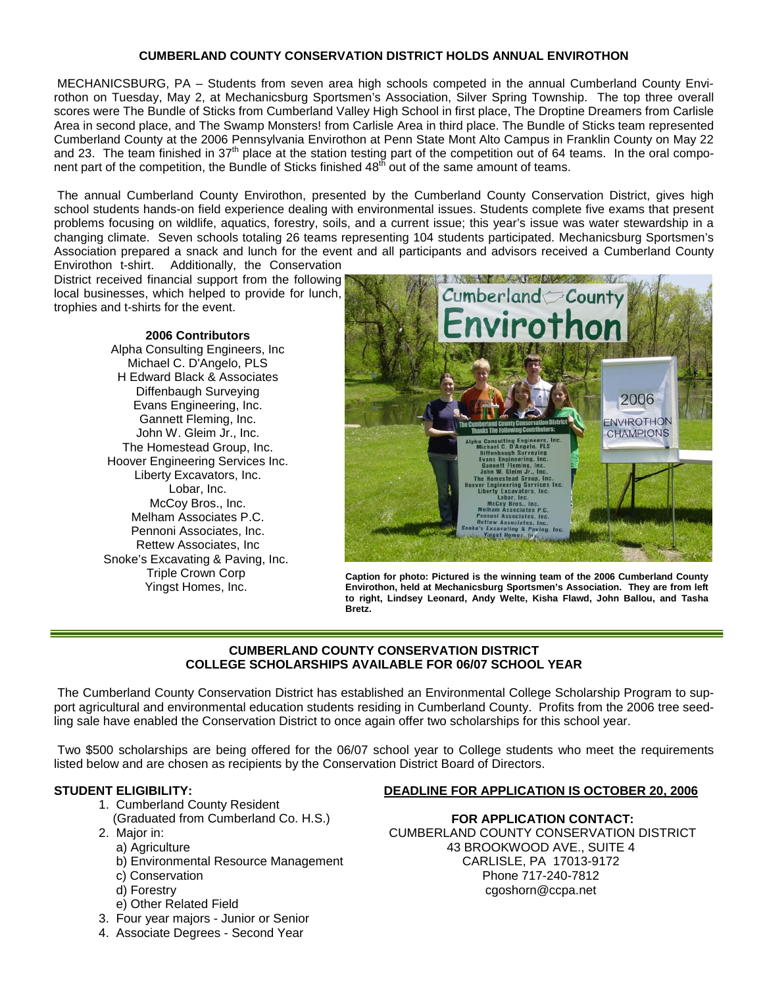### **CUMBERLAND COUNTY CONSERVATION DISTRICT HOLDS ANNUAL ENVIROTHON**

 MECHANICSBURG, PA – Students from seven area high schools competed in the annual Cumberland County Envirothon on Tuesday, May 2, at Mechanicsburg Sportsmen's Association, Silver Spring Township. The top three overall scores were The Bundle of Sticks from Cumberland Valley High School in first place. The Droptine Dreamers from Carlisle Area in second place, and The Swamp Monsters! from Carlisle Area in third place. The Bundle of Sticks team represented Cumberland County at the 2006 Pennsylvania Envirothon at Penn State Mont Alto Campus in Franklin County on May 22 and 23. The team finished in 37<sup>th</sup> place at the station testing part of the competition out of 64 teams. In the oral component part of the competition, the Bundle of Sticks finished 48<sup>th</sup> out of the same amount of teams.

 The annual Cumberland County Envirothon, presented by the Cumberland County Conservation District, gives high school students hands-on field experience dealing with environmental issues. Students complete five exams that present problems focusing on wildlife, aquatics, forestry, soils, and a current issue; this year's issue was water stewardship in a changing climate. Seven schools totaling 26 teams representing 104 students participated. Mechanicsburg Sportsmen's Association prepared a snack and lunch for the event and all participants and advisors received a Cumberland County Envirothon t-shirt. Additionally, the Conservation

District received financial support from the following local businesses, which helped to provide for lunch, trophies and t-shirts for the event.

> **2006 Contributors**  Alpha Consulting Engineers, Inc Michael C. D'Angelo, PLS H Edward Black & Associates Diffenbaugh Surveying Evans Engineering, Inc. Gannett Fleming, Inc. John W. Gleim Jr., Inc. The Homestead Group, Inc. Hoover Engineering Services Inc. Liberty Excavators, Inc. Lobar, Inc. McCoy Bros., Inc. Melham Associates P.C. Pennoni Associates, Inc. Rettew Associates, Inc Snoke's Excavating & Paving, Inc. Triple Crown Corp Yingst Homes, Inc.



**Caption for photo: Pictured is the winning team of the 2006 Cumberland County Envirothon, held at Mechanicsburg Sportsmen's Association. They are from left to right, Lindsey Leonard, Andy Welte, Kisha Flawd, John Ballou, and Tasha Bretz.** 

### **CUMBERLAND COUNTY CONSERVATION DISTRICT COLLEGE SCHOLARSHIPS AVAILABLE FOR 06/07 SCHOOL YEAR**

 The Cumberland County Conservation District has established an Environmental College Scholarship Program to support agricultural and environmental education students residing in Cumberland County. Profits from the 2006 tree seedling sale have enabled the Conservation District to once again offer two scholarships for this school year.

 Two \$500 scholarships are being offered for the 06/07 school year to College students who meet the requirements listed below and are chosen as recipients by the Conservation District Board of Directors.

### **STUDENT ELIGIBILITY:**

- 1. Cumberland County Resident
- (Graduated from Cumberland Co. H.S.)
- 2. Major in:
	- a) Agriculture
	- b) Environmental Resource Management
	- c) Conservation
	- d) Forestry
	- e) Other Related Field
- 3. Four year majors Junior or Senior
- 4. Associate Degrees Second Year

### **DEADLINE FOR APPLICATION IS OCTOBER 20, 2006**

**FOR APPLICATION CONTACT:**  CUMBERLAND COUNTY CONSERVATION DISTRICT 43 BROOKWOOD AVE., SUITE 4 CARLISLE, PA 17013-9172 Phone 717-240-7812 cgoshorn@ccpa.net